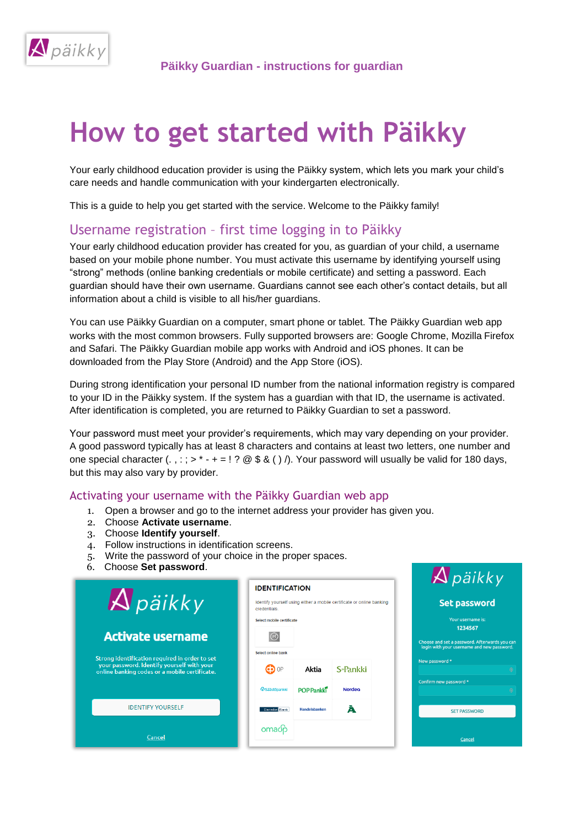

# **How to get started with Päikky**

Your early childhood education provider is using the Päikky system, which lets you mark your child's care needs and handle communication with your kindergarten electronically.

This is a guide to help you get started with the service. Welcome to the Päikky family!

# Username registration – first time logging in to Päikky

Your early childhood education provider has created for you, as guardian of your child, a username based on your mobile phone number. You must activate this username by identifying yourself using "strong" methods (online banking credentials or mobile certificate) and setting a password. Each guardian should have their own username. Guardians cannot see each other's contact details, but all information about a child is visible to all his/her guardians.

You can use Päikky Guardian on a computer, smart phone or tablet. The Päikky Guardian web app works with the most common browsers. Fully supported browsers are: Google Chrome, Mozilla Firefox and Safari. The Päikky Guardian mobile app works with Android and iOS phones. It can be downloaded from the Play Store (Android) and the App Store (iOS).

During strong identification your personal ID number from the national information registry is compared to your ID in the Päikky system. If the system has a guardian with that ID, the username is activated. After identification is completed, you are returned to Päikky Guardian to set a password.

Your password must meet your provider's requirements, which may vary depending on your provider. A good password typically has at least 8 characters and contains at least two letters, one number and one special character (., : ; >  $* - + = 1$  ? @ \$ & ( )  $\land$ . Your password will usually be valid for 180 days, but this may also vary by provider.

## Activating your username with the Päikky Guardian web app

- 1. Open a browser and go to the internet address your provider has given you.
- 2. Choose **Activate username**.
- 3. Choose **Identify yourself**.
- 4. Follow instructions in identification screens.
- 5. Write the password of your choice in the proper spaces.
- 6. Choose **Set password**.

|                                                                                             | <b>IDENTIFICATION</b>     |                                                                       |          |  |
|---------------------------------------------------------------------------------------------|---------------------------|-----------------------------------------------------------------------|----------|--|
| $\bigwedge$ päikky                                                                          | <b>credentials</b>        | Identify yourself using either a mobile certificate or online banking |          |  |
|                                                                                             | Select mobile certificate |                                                                       |          |  |
| <b>Activate username</b>                                                                    | $\odot$                   |                                                                       |          |  |
| Strong identification required in order to set                                              | Select online bank        |                                                                       |          |  |
| your password. Identify yourself with your<br>online banking codes or a mobile certificate. | $\bullet$ op              | Aktia                                                                 | S-Pankki |  |
|                                                                                             | <b>PSäästöpankki</b>      | <b>POP Pankki</b>                                                     | Nordeo   |  |
| <b>IDENTIFY YOURSELF</b>                                                                    | Danske Bank               | Handelsbanken                                                         | Ā        |  |
| Cancel                                                                                      | omadp                     |                                                                       |          |  |

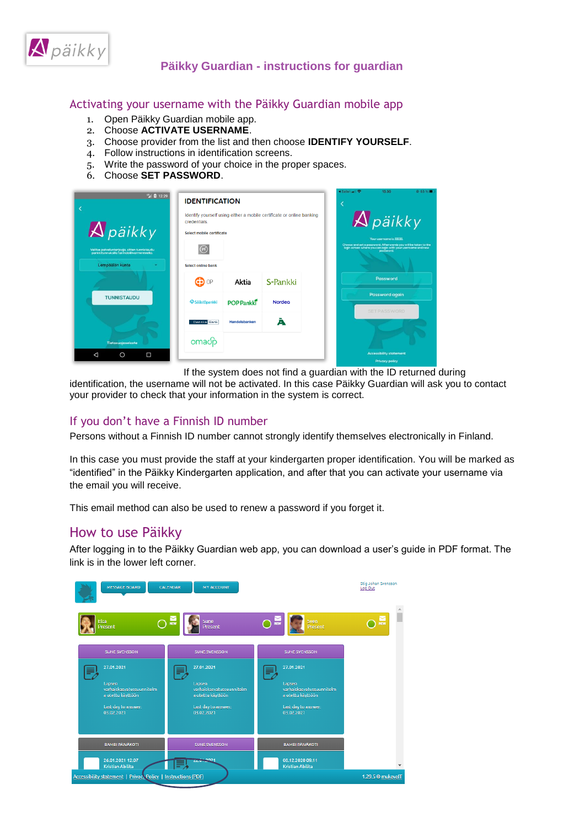

#### Activating your username with the Päikky Guardian mobile app

- 1. Open Päikky Guardian mobile app.
- 2. Choose **ACTIVATE USERNAME**.
- 3. Choose provider from the list and then choose **IDENTIFY YOURSELF**.
- 4. Follow instructions in identification screens.
- 5. Write the password of your choice in the proper spaces.
- 6. Choose **SET PASSWORD**.

| 四日12:29<br>$\bigwedge$ päikky                                                                                | <b>IDENTIFICATION</b><br>credentials<br>Select mobile certificate |                   | Identify yourself using either a mobile certificate or online banking | ◀ Safari atl <sup></sup><br>13.30<br><b>◎ 63 %■</b><br>$\bigwedge$ päikky<br>Your username is: IIIIIII.                                    |
|--------------------------------------------------------------------------------------------------------------|-------------------------------------------------------------------|-------------------|-----------------------------------------------------------------------|--------------------------------------------------------------------------------------------------------------------------------------------|
| Valitse palveluntarjoaja, sitten tunnistaudu<br>pankkitunnuksilla tai mobilivarmenteella.<br>Lempäälän kunta | (M)<br>Select online bank                                         |                   |                                                                       | Choose and set a password. Afterwards you will be taken to the<br>login screen where you can login with your username and new<br>password. |
|                                                                                                              | C <sub>2</sub> OP                                                 | Aktia             | S-Pankki                                                              | Password                                                                                                                                   |
| <b>TUNNISTAUDU</b>                                                                                           | <b>PSäästöpankki</b>                                              | <b>POP Pankki</b> | <b>Nordeo</b>                                                         | Password again<br><b>SET PASSWORD</b>                                                                                                      |
| Tietosuojaseloste                                                                                            | Danske Bank<br>omadp                                              | Handelsbanken     | A                                                                     | <b>Accessibility statement</b>                                                                                                             |
| Δ<br>$\Box$<br>$\circ$                                                                                       |                                                                   |                   |                                                                       | <b>Privacy policy</b>                                                                                                                      |

If the system does not find a guardian with the ID returned during

identification, the username will not be activated. In this case Päikky Guardian will ask you to contact your provider to check that your information in the system is correct.

## If you don't have a Finnish ID number

Persons without a Finnish ID number cannot strongly identify themselves electronically in Finland.

In this case you must provide the staff at your kindergarten proper identification. You will be marked as "identified" in the Päikky Kindergarten application, and after that you can activate your username via the email you will receive.

This email method can also be used to renew a password if you forget it.

# How to use Päikky

After logging in to the Päikky Guardian web app, you can download a user's guide in PDF format. The link is in the lower left corner.

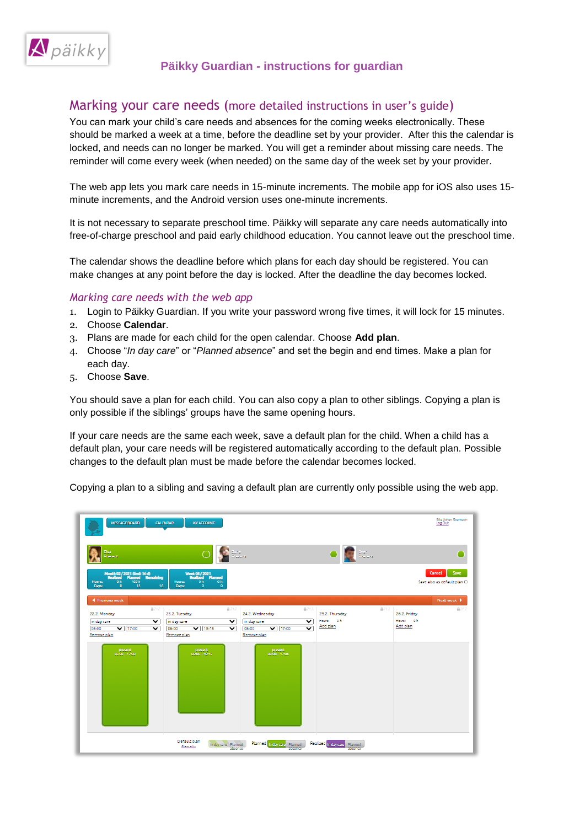

# Marking your care needs (more detailed instructions in user's guide)

You can mark your child's care needs and absences for the coming weeks electronically. These should be marked a week at a time, before the deadline set by your provider. After this the calendar is locked, and needs can no longer be marked. You will get a reminder about missing care needs. The reminder will come every week (when needed) on the same day of the week set by your provider.

The web app lets you mark care needs in 15-minute increments. The mobile app for iOS also uses 15 minute increments, and the Android version uses one-minute increments.

It is not necessary to separate preschool time. Päikky will separate any care needs automatically into free-of-charge preschool and paid early childhood education. You cannot leave out the preschool time.

The calendar shows the deadline before which plans for each day should be registered. You can make changes at any point before the day is locked. After the deadline the day becomes locked.

#### *Marking care needs with the web app*

- 1. Login to Päikky Guardian. If you write your password wrong five times, it will lock for 15 minutes.
- 2. Choose **Calendar**.
- 3. Plans are made for each child for the open calendar. Choose **Add plan**.
- 4. Choose "*In day care*" or "*Planned absence*" and set the begin and end times. Make a plan for each day.
- 5. Choose **Save**.

You should save a plan for each child. You can also copy a plan to other siblings. Copying a plan is only possible if the siblings' groups have the same opening hours.

If your care needs are the same each week, save a default plan for the child. When a child has a default plan, your care needs will be registered automatically according to the default plan. Possible changes to the default plan must be made before the calendar becomes locked.

Copying a plan to a sibling and saving a default plan are currently only possible using the web app.

| MESSAGE BOARD                                                                                                                          | CALENDAR<br>MY ACCOUNT                                                                                    |                                                    |                                         | Stig Johan Svensson<br>Log Out                |
|----------------------------------------------------------------------------------------------------------------------------------------|-----------------------------------------------------------------------------------------------------------|----------------------------------------------------|-----------------------------------------|-----------------------------------------------|
| Elsa<br>Present                                                                                                                        | Sine<br>Prezent                                                                                           |                                                    | $\sum_{i=1}^{n} \frac{1}{n}$            |                                               |
| Month 02/2021 (limit 16 d)<br>Realized Planned Remaining<br>0 <sub>n</sub><br>165 h<br><b>Hours:</b><br>15<br>$\bullet$<br>16<br>Days: | <b>Week 08 / 2021</b><br><b>Realized Planned</b><br><b>Hours:</b><br>0 h<br>0h<br>ō<br>$\bullet$<br>Days: |                                                    |                                         | Cancel<br>Save<br>Save also as default plan O |
| 4 Previous week                                                                                                                        |                                                                                                           |                                                    |                                         | Next week <b>P</b>                            |
| 商21.2.<br>22.2. Monday                                                                                                                 | 自21.2.<br>23.2. Tuesday                                                                                   | 自21.2.<br>24.2. Wednesday                          | 自21.2<br>25.2. Thursday                 | 商21.2<br>26.2. Friday                         |
| in day care<br>$\overline{\mathbf{v}}$                                                                                                 | in day care<br>$\checkmark$                                                                               | in day care<br>$\check{ }$                         | Hours: Oh                               | Hours: Oh                                     |
| 06:00<br>$\sqrt{17:00}$<br>$\overline{\mathbf{v}}$                                                                                     | $\overline{\smash{\triangledown}}$   15:15<br>06:00<br>$\overline{\mathbf{v}}$                            | $\sqrt{17:00}$<br>06:00<br>$\overline{\mathbf{v}}$ | Add plan                                | Add plan                                      |
| Remove plan                                                                                                                            | Remove plan                                                                                               | Remove plan                                        |                                         |                                               |
| present<br>$06:00 - 17:00$                                                                                                             | present:<br>$0600 - 15:15$                                                                                | present<br>$06:00 - 17:00$                         |                                         |                                               |
|                                                                                                                                        | Default plan<br>In day care Planned<br>Clear all<br>absence                                               | Planned in day care Planned<br>absence             | Realized In day care Planned<br>absence |                                               |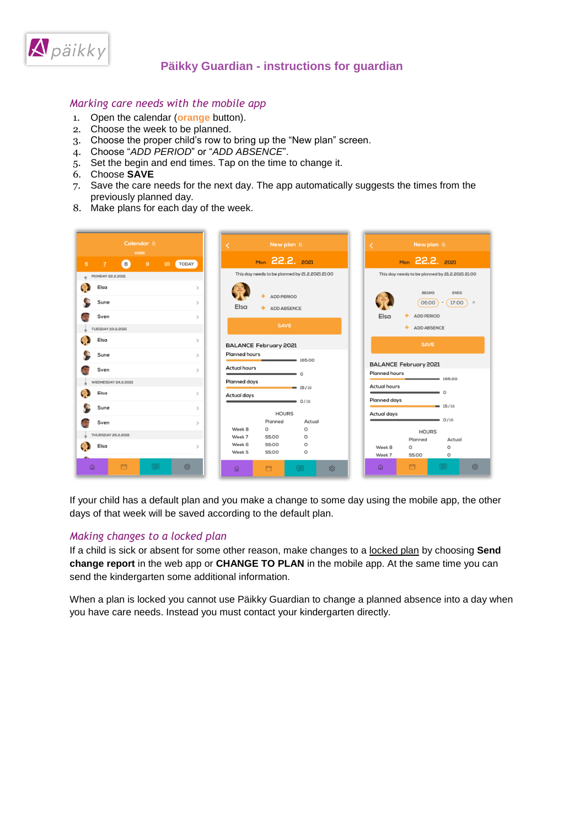

#### *Marking care needs with the mobile app*

- 1. Open the calendar (**orange** button).
- 2. Choose the week to be planned.
- 3. Choose the proper child's row to bring up the "New plan" screen.
- 4. Choose "*ADD PERIOD*" or "*ADD ABSENCE*".
- 5. Set the begin and end times. Tap on the time to change it.
- 6. Choose **SAVE**
- 7. Save the care needs for the next day. The app automatically suggests the times from the previously planned day.
- 8. Make plans for each day of the week.

|   |                                           | Calendar 6<br><b>WEEK</b> |   |                 |               |                                | K |                      | New plan 6                                             |                                                 |                              |                                                 | New plan 6                                                 |
|---|-------------------------------------------|---------------------------|---|-----------------|---------------|--------------------------------|---|----------------------|--------------------------------------------------------|-------------------------------------------------|------------------------------|-------------------------------------------------|------------------------------------------------------------|
| 6 |                                           | $\left  \right $          | 9 | 10 <sub>1</sub> | TODAY         |                                |   |                      |                                                        | Mon 22.2. 2021                                  |                              | Mon 22.2. 2021                                  |                                                            |
|   | MONDAY 22.2.2021                          |                           |   |                 |               |                                |   |                      |                                                        | This day needs to be planned by 21.2.2021 21:00 |                              | This day needs to be planned by 21.2.2021 21:00 |                                                            |
|   | Elsa<br>Sune<br>Sven<br>TUESDAY 23.2.2021 |                           |   |                 | $\mathcal{P}$ | $\rightarrow$<br>$\rightarrow$ |   | Elsa                 | <b>ADD PERIOD</b><br><b>ADD ABSENCE</b><br><b>SAVE</b> |                                                 | Elsa                         |                                                 | <b>BEGINS</b><br>06:00<br>ADD PERIOD<br><b>ADD ABSENCE</b> |
|   | Elsa                                      |                           |   |                 |               | $\rightarrow$                  |   |                      | <b>BALANCE February 2021</b>                           |                                                 |                              |                                                 | <b>SAVE</b>                                                |
|   | Sune                                      |                           |   |                 |               | $\rightarrow$                  |   | <b>Planned hours</b> |                                                        | $\frac{165:00}{2}$                              | <b>BALANCE February 2021</b> |                                                 |                                                            |
|   | Sven                                      |                           |   |                 | $\rightarrow$ |                                |   | <b>Actual hours</b>  |                                                        | $\bullet$ 0                                     | Planned hours                |                                                 |                                                            |
|   | WEDNESDAY 24.2.2021                       |                           |   |                 |               |                                |   | Planned days         |                                                        |                                                 |                              |                                                 | $-165,00$                                                  |
|   | Elsa                                      |                           |   |                 |               | $\rightarrow$                  |   | <b>Actual days</b>   |                                                        | $\bullet$ 15/16                                 | <b>Actual hours</b>          |                                                 | $\bullet$ 0                                                |
|   | Sune                                      |                           |   |                 |               | $\rightarrow$                  |   |                      |                                                        | 0/16<br>$\overline{\phantom{0}}$                | Planned days                 |                                                 | $= 15/16$                                                  |
|   |                                           |                           |   |                 |               |                                |   |                      | <b>HOURS</b><br>Planned                                | Actual                                          | Actual days                  |                                                 | $-$ 0/16                                                   |
|   | Sven                                      |                           |   |                 |               | $\rightarrow$                  |   | Week 8               | O                                                      | $\circ$                                         |                              |                                                 |                                                            |
|   | THURSDAY 25.2.2021                        |                           |   |                 |               |                                |   | Week 7               | 55:00                                                  | $\circ$                                         |                              | Planned                                         | <b>HOURS</b>                                               |
|   | Elsa                                      |                           |   |                 | $\mathbf{r}$  |                                |   | Week 6               | 55:00                                                  | $\circ$                                         | Week B                       | Ō                                               |                                                            |
|   |                                           |                           |   |                 |               |                                |   | Week 5               | 55:00                                                  | $\Omega$                                        | Week 7                       | 55:00                                           |                                                            |

If your child has a default plan and you make a change to some day using the mobile app, the other days of that week will be saved according to the default plan.

#### *Making changes to a locked plan*

If a child is sick or absent for some other reason, make changes to a locked plan by choosing **Send change report** in the web app or **CHANGE TO PLAN** in the mobile app. At the same time you can send the kindergarten some additional information.

When a plan is locked you cannot use Päikky Guardian to change a planned absence into a day when you have care needs. Instead you must contact your kindergarten directly.